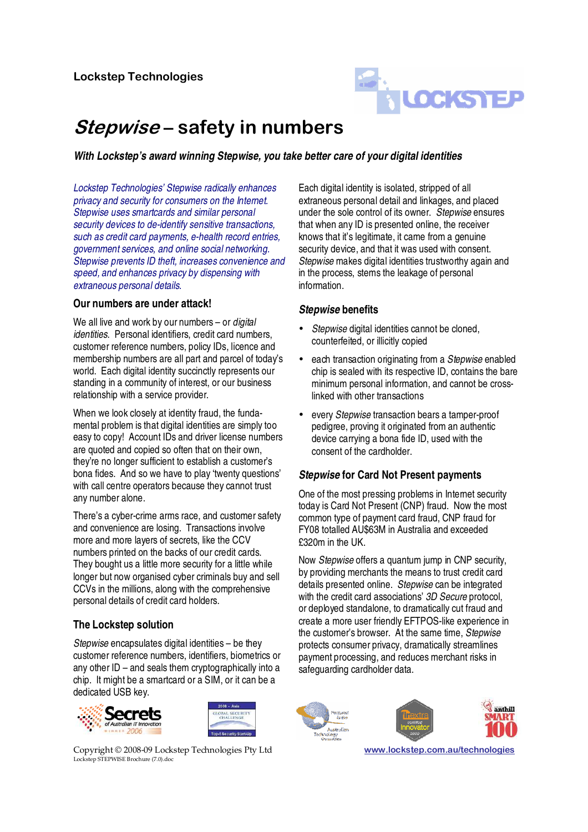

# Stepwise – safety in numbers

**With Lockstep's award winning Stepwise, you take better care of your digital identities** 

Lockstep Technologies' Stepwise radically enhances privacy and security for consumers on the Internet. Stepwise uses smartcards and similar personal security devices to de-identify sensitive transactions, such as credit card payments, e-health record entries, government services, and online social networking. Stepwise prevents ID theft, increases convenience and speed, and enhances privacy by dispensing with extraneous personal details.

#### **Our numbers are under attack!**

We all live and work by our numbers – or *digital* identities. Personal identifiers, credit card numbers, customer reference numbers, policy IDs, licence and membership numbers are all part and parcel of today's world. Each digital identity succinctly represents our standing in a community of interest, or our business relationship with a service provider.

When we look closely at identity fraud, the fundamental problem is that digital identities are simply too easy to copy! Account IDs and driver license numbers are quoted and copied so often that on their own, they're no longer sufficient to establish a customer's bona fides. And so we have to play 'twenty questions' with call centre operators because they cannot trust any number alone.

There's a cyber-crime arms race, and customer safety and convenience are losing. Transactions involve more and more layers of secrets, like the CCV numbers printed on the backs of our credit cards. They bought us a little more security for a little while longer but now organised cyber criminals buy and sell CCVs in the millions, along with the comprehensive personal details of credit card holders.

### **The Lockstep solution**

Stepwise encapsulates digital identities – be they customer reference numbers, identifiers, biometrics or any other ID – and seals them cryptographically into a chip. It might be a smartcard or a SIM, or it can be a dedicated USB key.





Copyright © 2008-09 Lockstep Technologies Pty Ltd www.lockstep.com.au/technologies Lockstep STEPWISE Brochure (7.0).doc

Each digital identity is isolated, stripped of all extraneous personal detail and linkages, and placed under the sole control of its owner. Stepwise ensures that when any ID is presented online, the receiver knows that it's legitimate, it came from a genuine security device, and that it was used with consent. Stepwise makes digital identities trustworthy again and in the process, stems the leakage of personal information.

### **Stepwise benefits**

- Stepwise digital identities cannot be cloned, counterfeited, or illicitly copied
- each transaction originating from a Stepwise enabled chip is sealed with its respective ID, contains the bare minimum personal information, and cannot be crosslinked with other transactions
- every *Stepwise* transaction bears a tamper-proof pedigree, proving it originated from an authentic device carrying a bona fide ID, used with the consent of the cardholder.

### **Stepwise for Card Not Present payments**

One of the most pressing problems in Internet security today is Card Not Present (CNP) fraud. Now the most common type of payment card fraud, CNP fraud for FY08 totalled AU\$63M in Australia and exceeded £320m in the UK.

Now Stepwise offers a quantum jump in CNP security, by providing merchants the means to trust credit card details presented online. Stepwise can be integrated with the credit card associations' 3D Secure protocol, or deployed standalone, to dramatically cut fraud and create a more user friendly EFTPOS-like experience in the customer's browser. At the same time, Stepwise protects consumer privacy, dramatically streamlines payment processing, and reduces merchant risks in safeguarding cardholder data.





anthill SMART